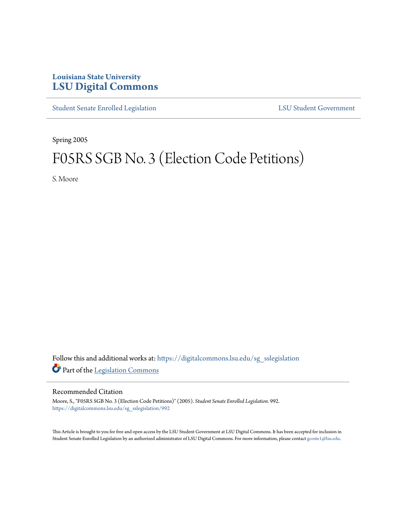## **Louisiana State University [LSU Digital Commons](https://digitalcommons.lsu.edu?utm_source=digitalcommons.lsu.edu%2Fsg_sslegislation%2F992&utm_medium=PDF&utm_campaign=PDFCoverPages)**

[Student Senate Enrolled Legislation](https://digitalcommons.lsu.edu/sg_sslegislation?utm_source=digitalcommons.lsu.edu%2Fsg_sslegislation%2F992&utm_medium=PDF&utm_campaign=PDFCoverPages) [LSU Student Government](https://digitalcommons.lsu.edu/sg?utm_source=digitalcommons.lsu.edu%2Fsg_sslegislation%2F992&utm_medium=PDF&utm_campaign=PDFCoverPages)

Spring 2005

# F05RS SGB No. 3 (Election Code Petitions)

S. Moore

Follow this and additional works at: [https://digitalcommons.lsu.edu/sg\\_sslegislation](https://digitalcommons.lsu.edu/sg_sslegislation?utm_source=digitalcommons.lsu.edu%2Fsg_sslegislation%2F992&utm_medium=PDF&utm_campaign=PDFCoverPages) Part of the [Legislation Commons](http://network.bepress.com/hgg/discipline/859?utm_source=digitalcommons.lsu.edu%2Fsg_sslegislation%2F992&utm_medium=PDF&utm_campaign=PDFCoverPages)

#### Recommended Citation

Moore, S., "F05RS SGB No. 3 (Election Code Petitions)" (2005). *Student Senate Enrolled Legislation*. 992. [https://digitalcommons.lsu.edu/sg\\_sslegislation/992](https://digitalcommons.lsu.edu/sg_sslegislation/992?utm_source=digitalcommons.lsu.edu%2Fsg_sslegislation%2F992&utm_medium=PDF&utm_campaign=PDFCoverPages)

This Article is brought to you for free and open access by the LSU Student Government at LSU Digital Commons. It has been accepted for inclusion in Student Senate Enrolled Legislation by an authorized administrator of LSU Digital Commons. For more information, please contact [gcoste1@lsu.edu.](mailto:gcoste1@lsu.edu)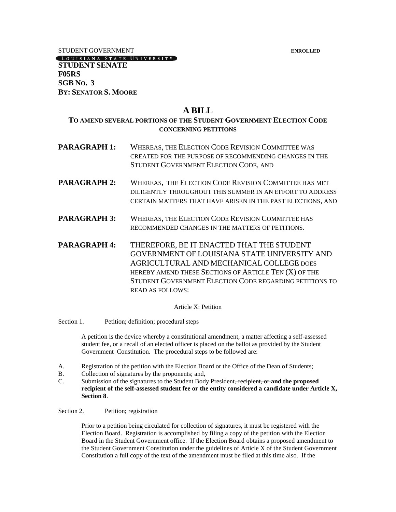STUDENT GOVERNMENT **ENROLLED**

LOUISIANA STATE UNIVERSITY **STUDENT SENATE F05RS SGB NO. 3 BY: SENATOR S. MOORE**

## **A BILL**

### **TO AMEND SEVERAL PORTIONS OF THE STUDENT GOVERNMENT ELECTION CODE CONCERNING PETITIONS**

- **PARAGRAPH 1:** WHEREAS, THE ELECTION CODE REVISION COMMITTEE WAS CREATED FOR THE PURPOSE OF RECOMMENDING CHANGES IN THE STUDENT GOVERNMENT ELECTION CODE, AND
- **PARAGRAPH 2:** WHEREAS, THE ELECTION CODE REVISION COMMITTEE HAS MET DILIGENTLY THROUGHOUT THIS SUMMER IN AN EFFORT TO ADDRESS CERTAIN MATTERS THAT HAVE ARISEN IN THE PAST ELECTIONS, AND
- **PARAGRAPH 3:** WHEREAS, THE ELECTION CODE REVISION COMMITTEE HAS RECOMMENDED CHANGES IN THE MATTERS OF PETITIONS.
- **PARAGRAPH 4:** THEREFORE, BE IT ENACTED THAT THE STUDENT GOVERNMENT OF LOUISIANA STATE UNIVERSITY AND AGRICULTURAL AND MECHANICAL COLLEGE DOES HEREBY AMEND THESE SECTIONS OF ARTICLE TEN (X) OF THE STUDENT GOVERNMENT ELECTION CODE REGARDING PETITIONS TO READ AS FOLLOWS:

Article X: Petition

Section 1. Petition; definition; procedural steps

A petition is the device whereby a constitutional amendment, a matter affecting a self-assessed student fee, or a recall of an elected officer is placed on the ballot as provided by the Student Government Constitution. The procedural steps to be followed are:

- A. Registration of the petition with the Election Board or the Office of the Dean of Students;
- B. Collection of signatures by the proponents; and,
- C. Submission of the signatures to the Student Body President, recipient, or **and the proposed recipient of the self-assessed student fee or the entity considered a candidate under Article X, Section 8**.

#### Section 2. Petition; registration

Prior to a petition being circulated for collection of signatures, it must be registered with the Election Board. Registration is accomplished by filing a copy of the petition with the Election Board in the Student Government office. If the Election Board obtains a proposed amendment to the Student Government Constitution under the guidelines of Article X of the Student Government Constitution a full copy of the text of the amendment must be filed at this time also. If the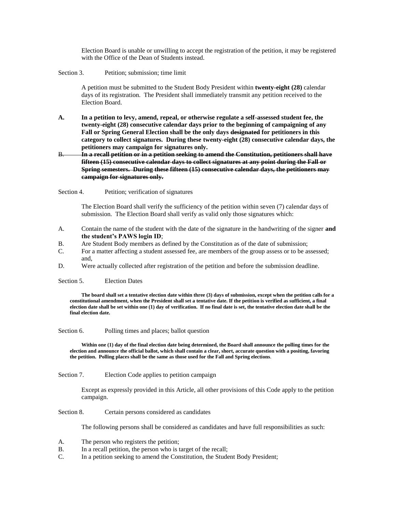Election Board is unable or unwilling to accept the registration of the petition, it may be registered with the Office of the Dean of Students instead.

Section 3. Petition; submission; time limit

A petition must be submitted to the Student Body President within **twenty-eight (28)** calendar days of its registration. The President shall immediately transmit any petition received to the Election Board.

**A. In a petition to levy, amend, repeal, or otherwise regulate a self-assessed student fee, the twenty-eight (28) consecutive calendar days prior to the beginning of campaigning of any Fall or Spring General Election shall be the only days designated for petitioners in this category to collect signatures. During these twenty-eight (28) consecutive calendar days, the petitioners may campaign for signatures only.**

#### B. **In a recall petition or in a petition seeking to amend the Constitution, petitioners shall have fifteen (15) consecutive calendar days to collect signatures at any point during the Fall or Spring semesters. During these fifteen (15) consecutive calendar days, the petitioners may campaign for signatures only.**

Section 4. Petition; verification of signatures

The Election Board shall verify the sufficiency of the petition within seven (7) calendar days of submission. The Election Board shall verify as valid only those signatures which:

- A. Contain the name of the student with the date of the signature in the handwriting of the signer **and the student's PAWS login ID**;
- B. Are Student Body members as defined by the Constitution as of the date of submission;
- C. For a matter affecting a student assessed fee, are members of the group assess or to be assessed; and,
- D. Were actually collected after registration of the petition and before the submission deadline.

Section 5. Election Dates

**The board shall set a tentative election date within three (3) days of submission, except when the petition calls for a constitutional amendment, when the President shall set a tentative date. If the petition is verified as sufficient, a final election date shall be set within one (1) day of verification. If no final date is set, the tentative election date shall be the final election date.**

Section 6. Polling times and places; ballot question

**Within one (1) day of the final election date being determined, the Board shall announce the polling times for the election and announce the official ballot, which shall contain a clear, short, accurate question with a positing, favoring the petition. Polling places shall be the same as those used for the Fall and Spring elections**.

Section 7. Election Code applies to petition campaign

Except as expressly provided in this Article, all other provisions of this Code apply to the petition campaign.

Section 8. Certain persons considered as candidates

The following persons shall be considered as candidates and have full responsibilities as such:

- A. The person who registers the petition;
- B. In a recall petition, the person who is target of the recall;
- C. In a petition seeking to amend the Constitution, the Student Body President;